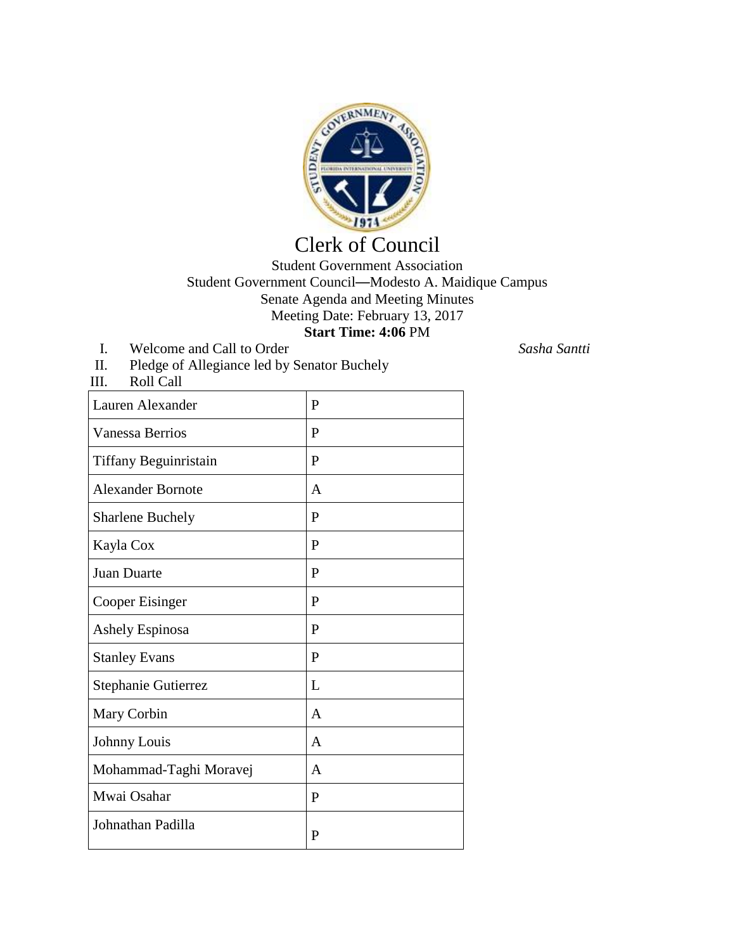

## Clerk of Council

## Student Government Association Student Government Council—Modesto A. Maidique Campus Senate Agenda and Meeting Minutes Meeting Date: February 13, 2017 **Start Time: 4:06** PM

- I. Welcome and Call to Order *Sasha Santti*
- II. Pledge of Allegiance led by Senator Buchely<br>III. Roll Call

| Roll Call<br>III.        |                |
|--------------------------|----------------|
| Lauren Alexander         | P              |
| <b>Vanessa Berrios</b>   | P              |
| Tiffany Beguinristain    | P              |
| <b>Alexander Bornote</b> | A              |
| <b>Sharlene Buchely</b>  | P              |
| Kayla Cox                | P              |
| Juan Duarte              | P              |
| <b>Cooper Eisinger</b>   | P              |
| Ashely Espinosa          | P              |
| <b>Stanley Evans</b>     | P              |
| Stephanie Gutierrez      | L              |
| Mary Corbin              | $\overline{A}$ |
| Johnny Louis             | $\overline{A}$ |
| Mohammad-Taghi Moravej   | A              |
| Mwai Osahar              | P              |
| Johnathan Padilla        | $\mathbf{P}$   |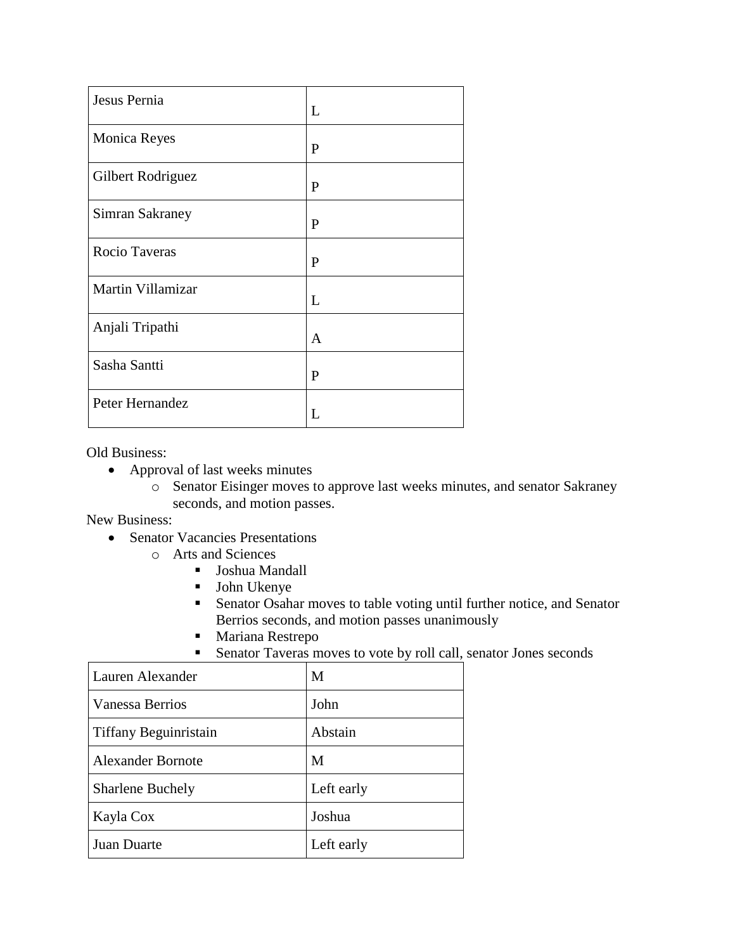| Jesus Pernia      | L            |
|-------------------|--------------|
| Monica Reyes      | $\mathbf{P}$ |
| Gilbert Rodriguez | P            |
| Simran Sakraney   | $\mathbf{P}$ |
| Rocio Taveras     | P            |
| Martin Villamizar | L            |
| Anjali Tripathi   | A            |
| Sasha Santti      | P            |
| Peter Hernandez   | L            |

Old Business:

- Approval of last weeks minutes
	- o Senator Eisinger moves to approve last weeks minutes, and senator Sakraney seconds, and motion passes.

New Business:

- Senator Vacancies Presentations
	- o Arts and Sciences
		- Joshua Mandall
		- John Ukenye
		- Senator Osahar moves to table voting until further notice, and Senator Berrios seconds, and motion passes unanimously
		- **Mariana Restrepo**
		- Senator Taveras moves to vote by roll call, senator Jones seconds

| Lauren Alexander         | M          |
|--------------------------|------------|
| Vanessa Berrios          | John       |
| Tiffany Beguinristain    | Abstain    |
| <b>Alexander Bornote</b> | M          |
| <b>Sharlene Buchely</b>  | Left early |
| Kayla Cox                | Joshua     |
| <b>Juan Duarte</b>       | Left early |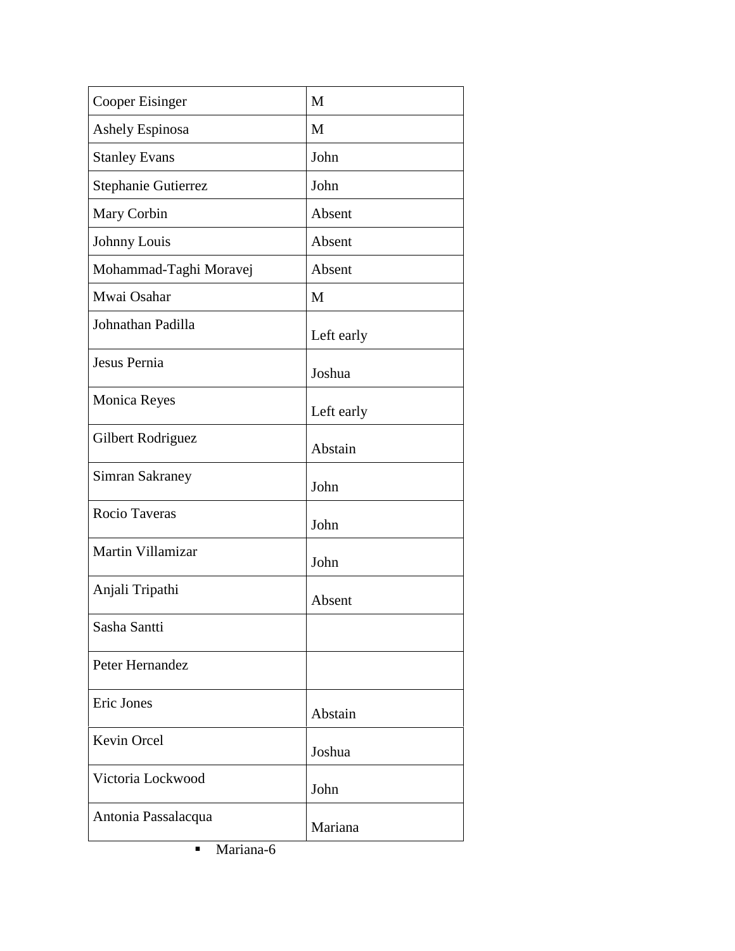| <b>Cooper Eisinger</b> | M          |
|------------------------|------------|
| Ashely Espinosa        | M          |
| <b>Stanley Evans</b>   | John       |
| Stephanie Gutierrez    | John       |
| Mary Corbin            | Absent     |
| Johnny Louis           | Absent     |
| Mohammad-Taghi Moravej | Absent     |
| Mwai Osahar            | M          |
| Johnathan Padilla      | Left early |
| Jesus Pernia           | Joshua     |
| Monica Reyes           | Left early |
| Gilbert Rodriguez      | Abstain    |
| <b>Simran Sakraney</b> | John       |
| Rocio Taveras          | John       |
| Martin Villamizar      | John       |
| Anjali Tripathi        | Absent     |
| Sasha Santti           |            |
| Peter Hernandez        |            |
| Eric Jones             | Abstain    |
| Kevin Orcel            | Joshua     |
| Victoria Lockwood      | John       |
| Antonia Passalacqua    | Mariana    |

**Mariana-6**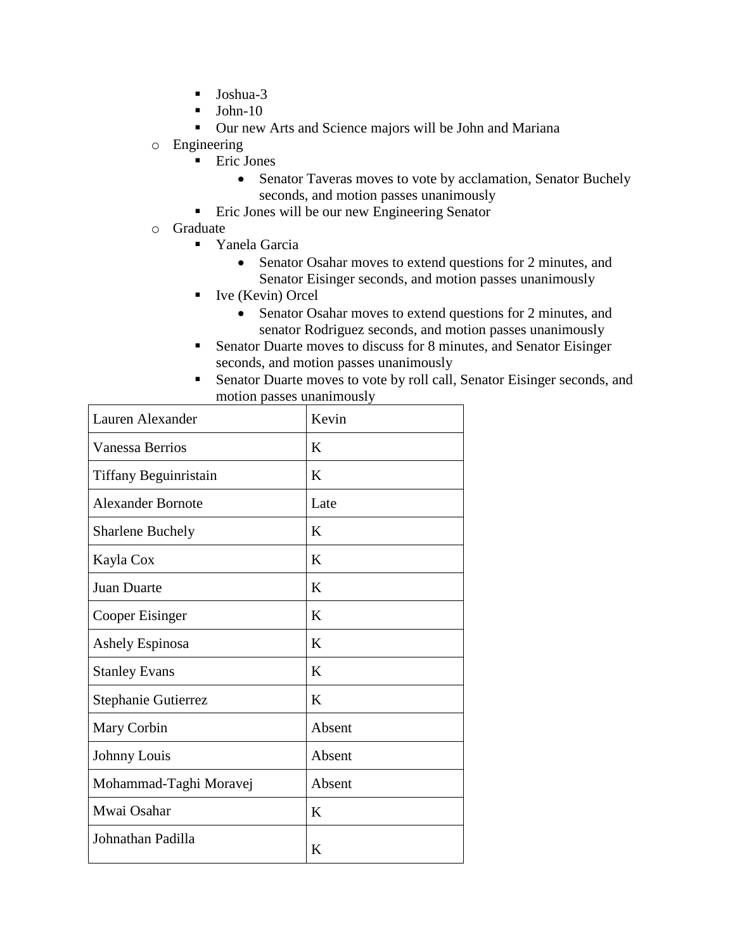- $\blacksquare$  Joshua-3
- John-10
- Our new Arts and Science majors will be John and Mariana
- o Engineering
	- **Eric Jones** 
		- Senator Taveras moves to vote by acclamation, Senator Buchely seconds, and motion passes unanimously
	- Eric Jones will be our new Engineering Senator
- o Graduate
	- **Tanela Garcia** 
		- Senator Osahar moves to extend questions for 2 minutes, and Senator Eisinger seconds, and motion passes unanimously
	- Ive (Kevin) Orcel
		- Senator Osahar moves to extend questions for 2 minutes, and senator Rodriguez seconds, and motion passes unanimously
	- Senator Duarte moves to discuss for 8 minutes, and Senator Eisinger seconds, and motion passes unanimously
	- Senator Duarte moves to vote by roll call, Senator Eisinger seconds, and motion passes unanimously

| Lauren Alexander         | Kevin  |
|--------------------------|--------|
| Vanessa Berrios          | K      |
| Tiffany Beguinristain    | K      |
| <b>Alexander Bornote</b> | Late   |
| <b>Sharlene Buchely</b>  | K      |
| Kayla Cox                | K      |
| <b>Juan Duarte</b>       | K      |
| Cooper Eisinger          | K      |
| Ashely Espinosa          | K      |
| <b>Stanley Evans</b>     | K      |
| Stephanie Gutierrez      | K      |
| Mary Corbin              | Absent |
| Johnny Louis             | Absent |
| Mohammad-Taghi Moravej   | Absent |
| Mwai Osahar              | K      |
| Johnathan Padilla        | K      |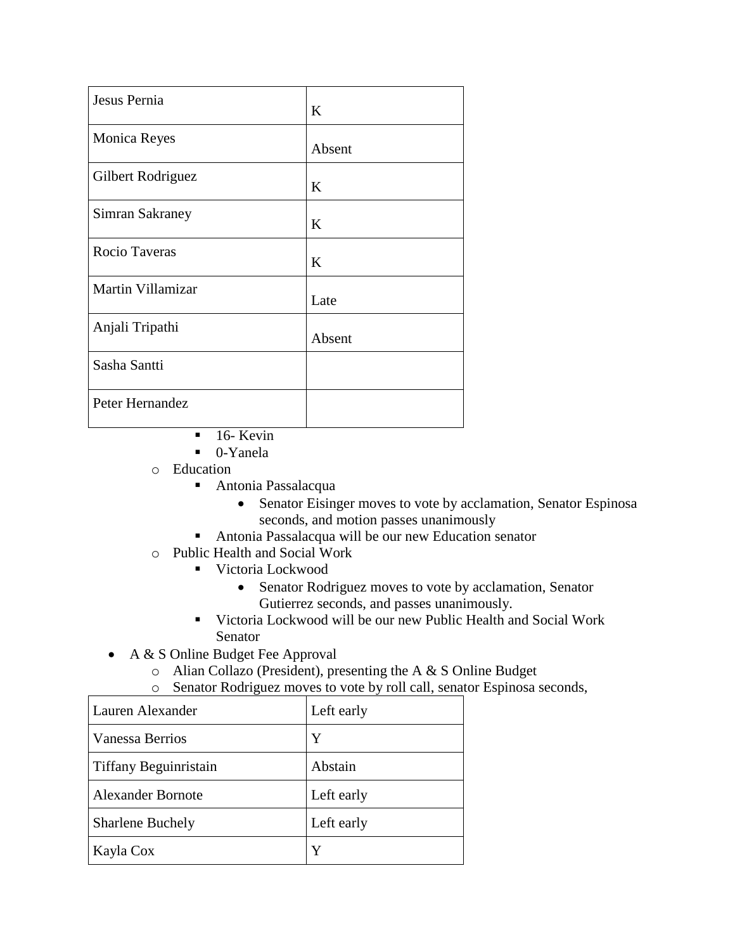| Jesus Pernia        | K      |
|---------------------|--------|
| <b>Monica Reyes</b> | Absent |
| Gilbert Rodriguez   | K      |
| Simran Sakraney     | K      |
| Rocio Taveras       | K      |
| Martin Villamizar   | Late   |
| Anjali Tripathi     | Absent |
| Sasha Santti        |        |
| Peter Hernandez     |        |

- $\blacksquare$  16- Kevin
- 0-Yanela
- o Education
	- Antonia Passalacqua
		- Senator Eisinger moves to vote by acclamation, Senator Espinosa seconds, and motion passes unanimously
	- Antonia Passalacqua will be our new Education senator
- o Public Health and Social Work
	- Victoria Lockwood
		- Senator Rodriguez moves to vote by acclamation, Senator Gutierrez seconds, and passes unanimously.
		- Victoria Lockwood will be our new Public Health and Social Work Senator
- A & S Online Budget Fee Approval
	- o Alian Collazo (President), presenting the A & S Online Budget
	- o Senator Rodriguez moves to vote by roll call, senator Espinosa seconds,

| Lauren Alexander             | Left early |
|------------------------------|------------|
| Vanessa Berrios              | Y          |
| <b>Tiffany Beguinristain</b> | Abstain    |
| <b>Alexander Bornote</b>     | Left early |
| <b>Sharlene Buchely</b>      | Left early |
| Kayla Cox                    | Y          |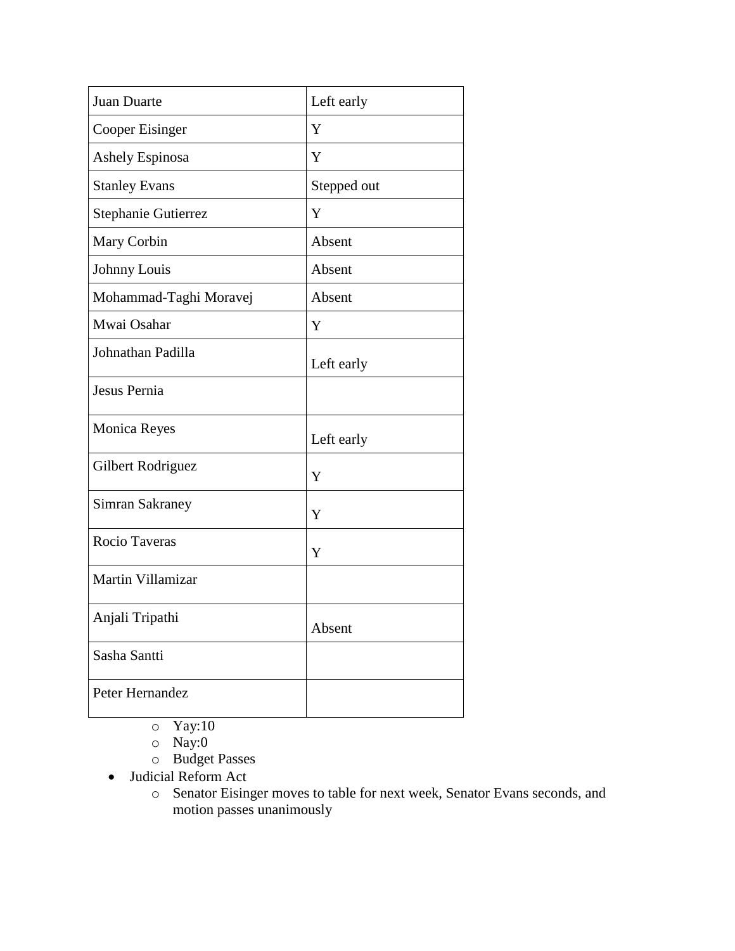| Juan Duarte            | Left early  |
|------------------------|-------------|
| Cooper Eisinger        | Y           |
| <b>Ashely Espinosa</b> | Y           |
| <b>Stanley Evans</b>   | Stepped out |
| Stephanie Gutierrez    | Y           |
| Mary Corbin            | Absent      |
| Johnny Louis           | Absent      |
| Mohammad-Taghi Moravej | Absent      |
| Mwai Osahar            | Y           |
| Johnathan Padilla      | Left early  |
| Jesus Pernia           |             |
| <b>Monica Reyes</b>    | Left early  |
| Gilbert Rodriguez      | Y           |
| <b>Simran Sakraney</b> | Y           |
| <b>Rocio Taveras</b>   | Y           |
| Martin Villamizar      |             |
| Anjali Tripathi        | Absent      |
| Sasha Santti           |             |
| Peter Hernandez        |             |

- $\circ$  Yay:10
- o Nay:0
- o Budget Passes
- Judicial Reform Act
	- o Senator Eisinger moves to table for next week, Senator Evans seconds, and motion passes unanimously